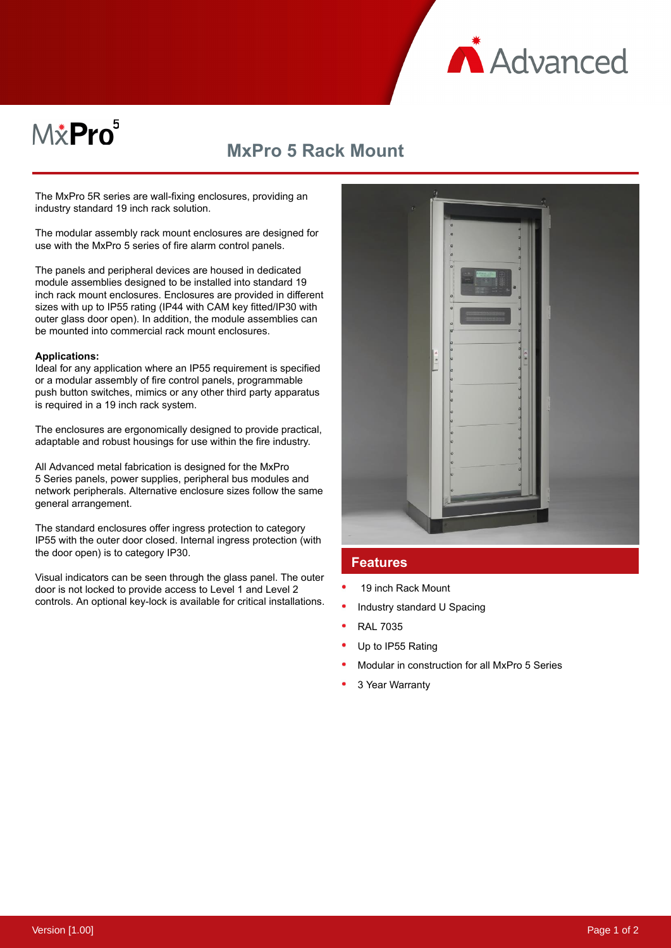

# M*\**Pro<sup>5</sup>

## **MxPro 5 Rack Mount**

The MxPro 5R series are wall-fixing enclosures, providing an industry standard 19 inch rack solution.

The modular assembly rack mount enclosures are designed for use with the MxPro 5 series of fire alarm control panels.

The panels and peripheral devices are housed in dedicated module assemblies designed to be installed into standard 19 inch rack mount enclosures. Enclosures are provided in different sizes with up to IP55 rating (IP44 with CAM key fitted/IP30 with outer glass door open). In addition, the module assemblies can be mounted into commercial rack mount enclosures.

#### **Applications:**

Ideal for any application where an IP55 requirement is specified or a modular assembly of fire control panels, programmable push button switches, mimics or any other third party apparatus is required in a 19 inch rack system.

The enclosures are ergonomically designed to provide practical, adaptable and robust housings for use within the fire industry.

All Advanced metal fabrication is designed for the MxPro 5 Series panels, power supplies, peripheral bus modules and network peripherals. Alternative enclosure sizes follow the same general arrangement.

The standard enclosures offer ingress protection to category IP55 with the outer door closed. Internal ingress protection (with the door open) is to category IP30.

Visual indicators can be seen through the glass panel. The outer door is not locked to provide access to Level 1 and Level 2 controls. An optional key-lock is available for critical installations.



#### **Features**

- 19 inch Rack Mount
- Industry standard U Spacing
- RAL 7035
- Up to IP55 Rating
- Modular in construction for all MxPro 5 Series
- 3 Year Warranty